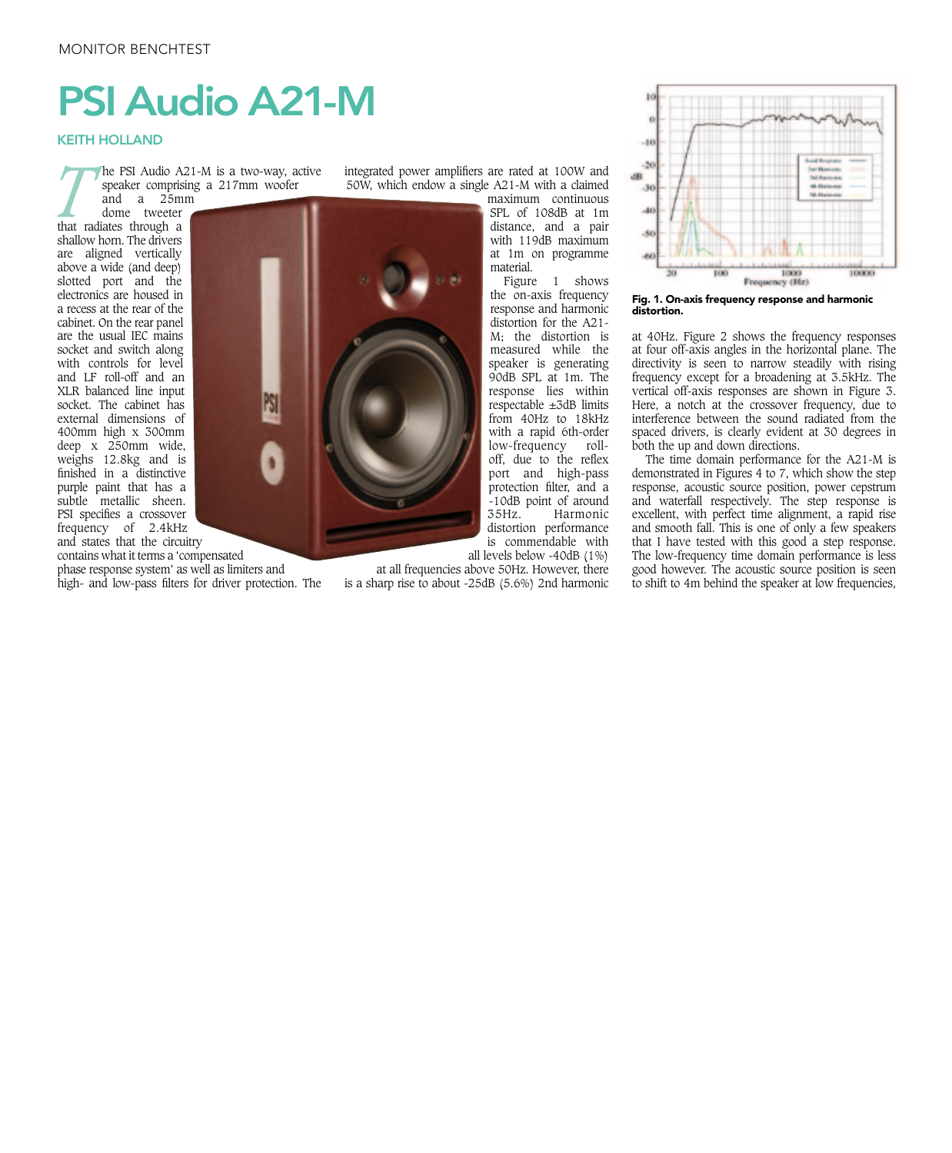## PSI Audio A21-M

## KEITH HOLLAND

*T* he PSI Audio A21-M is a two-way, active speaker comprising a 217mm woofer

and a 25mm dome tweeter that radiates through a shallow horn. The drivers are aligned vertically above a wide (and deep) slotted port and the electronics are housed in a recess at the rear of the cabinet. On the rear panel are the usual IEC mains socket and switch along with controls for level and LF roll-off and an XLR balanced line input socket. The cabinet has external dimensions of 400mm high x 300mm deep x 250mm wide, weighs 12.8kg and is finished in a distinctive purple paint that has a subtle metallic sheen. PSI specifies a crossover frequency of 2.4kHz and states that the circuitry

contains what it terms a 'compensated phase response system' as well as limiters and

high- and low-pass filters for driver protection. The

integrated power amplifiers are rated at 100W and 50W, which endow a single A21-M with a claimed

maximum continuous SPL of 108dB at 1m distance, and a pair with 119dB maximum at 1m on programme material.

Figure 1 shows the on-axis frequency response and harmonic distortion for the A21- M; the distortion is measured while the speaker is generating 90dB SPL at 1m. The response lies within respectable  $\pm 3$ dB limits from 40Hz to 18kHz with a rapid 6th-order low-frequency rolloff, due to the reflex port and high-pass protection filter, and a -10dB point of around<br>35Hz. Harmonic Harmonic distortion performance is commendable with

all levels below -40dB (1%)

at all frequencies above 50Hz. However, there is a sharp rise to about -25dB (5.6%) 2nd harmonic



Fig. 1. On-axis frequency response and harmonic distortion.

at 40Hz. Figure 2 shows the frequency responses at four off-axis angles in the horizontal plane. The directivity is seen to narrow steadily with rising frequency except for a broadening at 3.5kHz. The vertical off-axis responses are shown in Figure 3. Here, a notch at the crossover frequency, due to interference between the sound radiated from the spaced drivers, is clearly evident at 30 degrees in both the up and down directions.

The time domain performance for the A21-M is demonstrated in Figures 4 to 7, which show the step response, acoustic source position, power cepstrum and waterfall respectively. The step response is excellent, with perfect time alignment, a rapid rise and smooth fall. This is one of only a few speakers that I have tested with this good a step response. The low-frequency time domain performance is less good however. The acoustic source position is seen to shift to 4m behind the speaker at low frequencies,